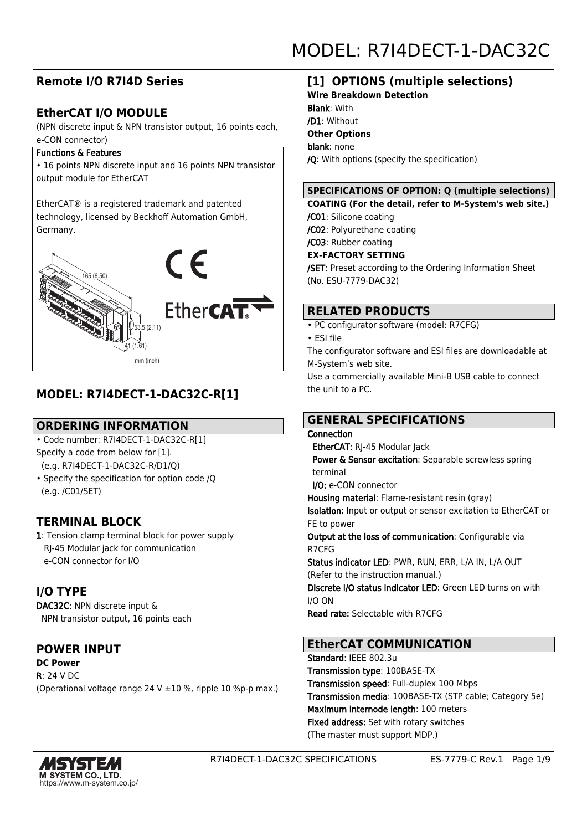# **Remote I/O R7I4D Series**

# **EtherCAT I/O MODULE**

(NPN discrete input & NPN transistor output, 16 points each, e-CON connector)

#### Functions & Features

• 16 points NPN discrete input and 16 points NPN transistor output module for EtherCAT

EtherCAT® is a registered trademark and patented technology, licensed by Beckhoff Automation GmbH, Germany.



# **MODEL: R7I4DECT-1-DAC32C-R[1]**

## **ORDERING INFORMATION**

• Code number: R7I4DECT-1-DAC32C-R[1] Specify a code from below for [1].

(e.g. R7I4DECT-1-DAC32C-R/D1/Q)

• Specify the specification for option code /Q (e.g. /C01/SET)

## **TERMINAL BLOCK**

1: Tension clamp terminal block for power supply RJ-45 Modular jack for communication e-CON connector for I/O

# **I/O TYPE**

DAC32C: NPN discrete input & NPN transistor output, 16 points each

## **POWER INPUT**

**DC Power** R: 24 V DC (Operational voltage range 24 V ±10 %, ripple 10 %p-p max.)

# **[1] OPTIONS (multiple selections)**

**Wire Breakdown Detection** Blank: With /D1: Without **Other Options** blank: none /Q: With options (specify the specification)

#### **SPECIFICATIONS OF OPTION: Q (multiple selections)**

**COATING (For the detail, refer to M-System's web site.)** /C01: Silicone coating

/C02: Polyurethane coating

# /C03: Rubber coating

**EX-FACTORY SETTING**

/SET: Preset according to the Ordering Information Sheet (No. ESU-7779-DAC32)

## **RELATED PRODUCTS**

• PC configurator software (model: R7CFG)

• ESI file

The configurator software and ESI files are downloadable at M-System's web site.

Use a commercially available Mini-B USB cable to connect the unit to a PC.

# **GENERAL SPECIFICATIONS**

## **Connection**

 EtherCAT: RJ-45 Modular Jack Power & Sensor excitation: Separable screwless spring terminal

#### I/O: e-CON connector

Housing material: Flame-resistant resin (gray)

Isolation: Input or output or sensor excitation to EtherCAT or FE to power

Output at the loss of communication: Configurable via R7CFG

Status indicator LED: PWR, RUN, ERR, L/A IN, L/A OUT (Refer to the instruction manual.)

Discrete I/O status indicator LED: Green LED turns on with I/O ON

Read rate: Selectable with R7CFG

## **EtherCAT COMMUNICATION**

Standard: IEEE 802.3u Transmission type: 100BASE-TX Transmission speed: Full-duplex 100 Mbps Transmission media: 100BASE-TX (STP cable; Category 5e) Maximum internode length: 100 meters Fixed address: Set with rotary switches (The master must support MDP.)

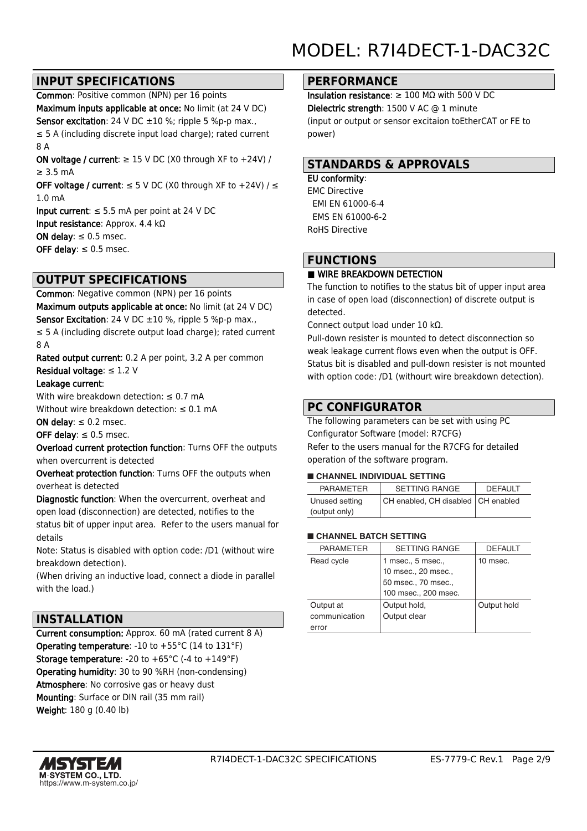## **INPUT SPECIFICATIONS**

Common: Positive common (NPN) per 16 points Maximum inputs applicable at once: No limit (at 24 V DC) Sensor excitation: 24 V DC  $\pm 10$  %; ripple 5 %p-p max., ≤ 5 A (including discrete input load charge); rated current 8 A

ON voltage / current:  $\geq$  15 V DC (X0 through XF to +24V) / ≥ 3.5 mA

OFF voltage / current:  $\leq$  5 V DC (X0 through XF to +24V) /  $\leq$ 1.0 mA

Input current:  $\leq$  5.5 mA per point at 24 V DC Input resistance: Approx. 4.4 kΩ ON delay:  $\leq 0.5$  msec. OFF delay:  $\leq 0.5$  msec.

## **OUTPUT SPECIFICATIONS**

Common: Negative common (NPN) per 16 points Maximum outputs applicable at once: No limit (at 24 V DC) Sensor Excitation: 24 V DC ±10 %, ripple 5 %p-p max., ≤ 5 A (including discrete output load charge); rated current 8 A

Rated output current: 0.2 A per point, 3.2 A per common Residual voltage:  $\leq 1.2$  V

#### Leakage current:

With wire breakdown detection:  $\leq 0.7$  mA Without wire breakdown detection:  $\leq 0.1$  mA

ON delay:  $\leq 0.2$  msec.

OFF delay:  $\leq 0.5$  msec.

Overload current protection function: Turns OFF the outputs when overcurrent is detected

Overheat protection function: Turns OFF the outputs when overheat is detected

Diagnostic function: When the overcurrent, overheat and open load (disconnection) are detected, notifies to the status bit of upper input area. Refer to the users manual for details

Note: Status is disabled with option code: /D1 (without wire breakdown detection).

(When driving an inductive load, connect a diode in parallel with the load.)

### **INSTALLATION**

Current consumption: Approx. 60 mA (rated current 8 A) Operating temperature: -10 to +55°C (14 to 131°F) **Storage temperature:** -20 to  $+65^{\circ}$ C (-4 to  $+149^{\circ}$ F) Operating humidity: 30 to 90 %RH (non-condensing) Atmosphere: No corrosive gas or heavy dust Mounting: Surface or DIN rail (35 mm rail) Weight: 180 g (0.40 lb)

#### **PERFORMANCE**

Insulation resistance: ≥ 100 MΩ with 500 V DC Dielectric strength: 1500 V AC @ 1 minute (input or output or sensor excitaion toEtherCAT or FE to power)

#### **STANDARDS & APPROVALS**

#### EU conformity:

EMC Directive EMI EN 61000-6-4 EMS EN 61000-6-2 RoHS Directive

## **FUNCTIONS**

#### ■ WIRE BREAKDOWN DETECTION

The function to notifies to the status bit of upper input area in case of open load (disconnection) of discrete output is detected.

Connect output load under 10 kΩ.

Pull-down resister is mounted to detect disconnection so weak leakage current flows even when the output is OFF. Status bit is disabled and pull-down resister is not mounted with option code: /D1 (withourt wire breakdown detection).

### **PC CONFIGURATOR**

The following parameters can be set with using PC Configurator Software (model: R7CFG) Refer to the users manual for the R7CFG for detailed operation of the software program.

#### ■ **CHANNEL INDIVIDUAL SETTING**

| <b>PARAMETER</b> | <b>SETTING RANGE</b>                 | <b>DEFAULT</b> |
|------------------|--------------------------------------|----------------|
| Unused setting   | CH enabled, CH disabled   CH enabled |                |
| (output only)    |                                      |                |

#### ■ **CHANNEL BATCH SETTING**

| <b>PARAMETER</b> | <b>SETTING RANGE</b> | <b>DEFAULT</b> |
|------------------|----------------------|----------------|
| Read cycle       | 1 msec., 5 msec.,    | 10 msec.       |
|                  | 10 msec., 20 msec.,  |                |
|                  | 50 msec., 70 msec.,  |                |
|                  | 100 msec., 200 msec. |                |
| Output at        | Output hold,         | Output hold    |
| communication    | Output clear         |                |
| error            |                      |                |

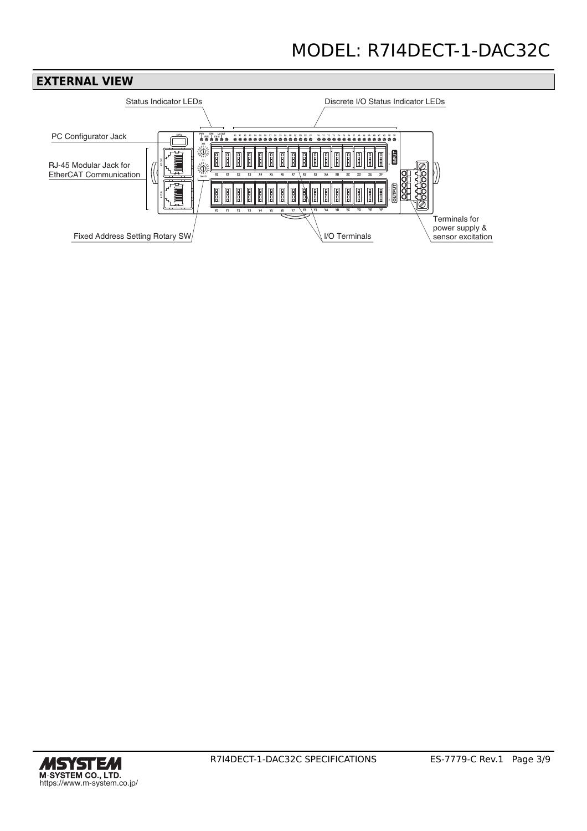# MODEL: R7I4DECT-1-DAC32C



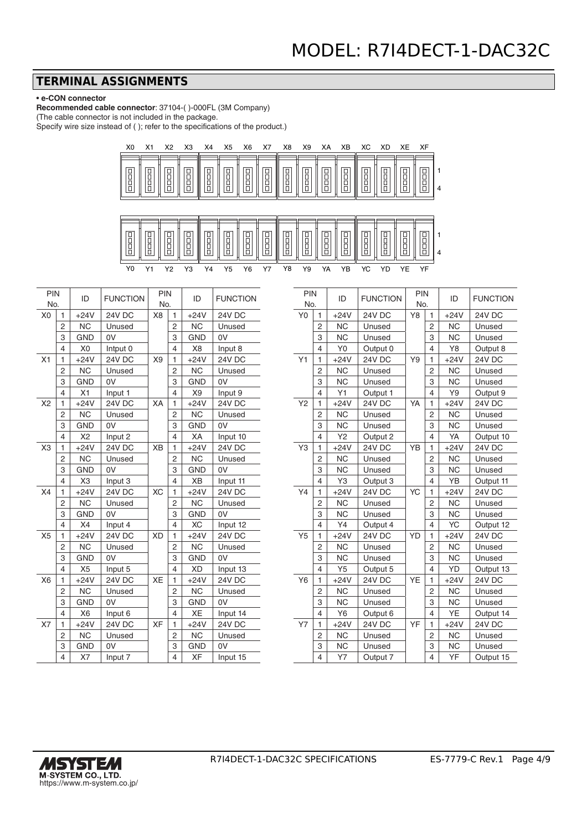#### **TERMINAL ASSIGNMENTS**

#### • **e-CON connector**

**Recommended cable connector**: 37104-( )-000FL (3M Company) (The cable connector is not included in the package.

Specify wire size instead of ( ); refer to the specifications of the product.)



| <b>PIN</b><br>No. |                | ID             | <b>FUNCTION</b> | <b>PIN</b><br>No. |                         | ID             | <b>FUNCTION</b> |
|-------------------|----------------|----------------|-----------------|-------------------|-------------------------|----------------|-----------------|
|                   |                |                |                 |                   |                         |                |                 |
| X <sub>0</sub>    | 1              | $+24V$         | <b>24V DC</b>   | X8                | 1                       | $+24V$         | <b>24V DC</b>   |
|                   | 2              | <b>NC</b>      | Unused          |                   | 2                       | <b>NC</b>      | Unused          |
|                   | 3              | <b>GND</b>     | 0V              |                   | 3                       | <b>GND</b>     | 0V              |
|                   | 4              | X <sub>0</sub> | Intput 0        |                   | 4                       | X <sub>8</sub> | Input 8         |
| X1                | 1              | $+24V$         | 24V DC          | X9                | 1                       | $+24V$         | <b>24V DC</b>   |
|                   | 2              | <b>NC</b>      | Unused          |                   | $\overline{2}$          | <b>NC</b>      | Unused          |
|                   | 3              | <b>GND</b>     | 0V              |                   | 3                       | <b>GND</b>     | 0V              |
|                   | 4              | X1             | Input 1         |                   | 4                       | X <sub>9</sub> | Input 9         |
| X <sub>2</sub>    | 1              | $+24V$         | 24V DC          | XA                | 1                       | $+24V$         | <b>24V DC</b>   |
|                   | 2              | <b>NC</b>      | Unused          |                   | 2                       | <b>NC</b>      | Unused          |
|                   | 3              | <b>GND</b>     | 0V              |                   | 3                       | <b>GND</b>     | 0V              |
|                   | 4              | X2             | Input 2         |                   | 4                       | XA             | Input 10        |
| X <sub>3</sub>    | 1              | $+24V$         | <b>24V DC</b>   | <b>XB</b>         | 1                       | $+24V$         | <b>24V DC</b>   |
|                   | $\overline{2}$ | <b>NC</b>      | Unused          |                   | $\overline{c}$          | <b>NC</b>      | Unused          |
|                   | 3              | <b>GND</b>     | 0V              |                   | 3                       | <b>GND</b>     | 0V              |
|                   | 4              | X <sub>3</sub> | Input 3         |                   | 4                       | XB             | Input 11        |
| X4                | 1              | $+24V$         | 24V DC          | <b>XC</b>         | 1                       | $+24V$         | 24V DC          |
|                   | 2              | <b>NC</b>      | Unused          |                   | 2                       | <b>NC</b>      | Unused          |
|                   | 3              | <b>GND</b>     | 0V              |                   | 3                       | <b>GND</b>     | 0V              |
|                   | 4              | X4             | Input 4         |                   | 4                       | <b>XC</b>      | Input 12        |
| X <sub>5</sub>    | 1              | $+24V$         | <b>24V DC</b>   | <b>XD</b>         | 1                       | $+24V$         | <b>24V DC</b>   |
|                   | $\overline{c}$ | <b>NC</b>      | Unused          |                   | 2                       | <b>NC</b>      | Unused          |
|                   | 3              | <b>GND</b>     | 0V              |                   | 3                       | <b>GND</b>     | 0V              |
|                   | 4              | X <sub>5</sub> | Input 5         |                   | 4                       | <b>XD</b>      | Input 13        |
| X <sub>6</sub>    | $\mathbf{1}$   | $+24V$         | 24V DC          | <b>XE</b>         | 1                       | $+24V$         | 24V DC          |
|                   | 2              | <b>NC</b>      | Unused          |                   | 2                       | <b>NC</b>      | Unused          |
|                   | 3              | <b>GND</b>     | 0V              |                   | 3                       | <b>GND</b>     | 0V              |
|                   | 4              | X <sub>6</sub> | Input 6         |                   | 4                       | XE             | Input 14        |
| X7                | 1              | $+24V$         | 24V DC          | <b>XF</b>         | 1                       | $+24V$         | <b>24V DC</b>   |
|                   | $\overline{2}$ | <b>NC</b>      | Unused          |                   | $\overline{2}$          | <b>NC</b>      | Unused          |
|                   | 3              | <b>GND</b>     | 0V              |                   | 3                       | <b>GND</b>     | 0V              |
|                   | 4              | X7             | Input 7         |                   | $\overline{\mathbf{4}}$ | <b>XF</b>      | Input 15        |

| <b>PIN</b><br>No. |                         | ID             | <b>FUNCTION</b> | PIN<br>No. |                          | ID        | <b>FUNCTION</b> |
|-------------------|-------------------------|----------------|-----------------|------------|--------------------------|-----------|-----------------|
| Y0                | 1                       | $+24V$         | 24V DC          | Y8<br>1    |                          | $+24V$    | 24V DC          |
|                   | $\overline{2}$          | <b>NC</b>      | Unused          |            | 2                        | <b>NC</b> | Unused          |
|                   | 3                       | <b>NC</b>      | Unused          |            | 3                        | <b>NC</b> | Unused          |
|                   | 4                       | Y <sub>0</sub> | Output 0        |            | $\overline{\mathcal{L}}$ | Y8        | Output 8        |
| Y1                | 1                       | $+24V$         | 24V DC          | Y9         | 1                        | $+24V$    | 24V DC          |
|                   | $\overline{2}$          | <b>NC</b>      | Unused          |            | $\overline{2}$           | <b>NC</b> | Unused          |
|                   | 3                       | <b>NC</b>      | Unused          |            | 3                        | <b>NC</b> | Unused          |
|                   | 4                       | Y1             | Output 1        |            | $\overline{\mathcal{L}}$ | Y9        | Output 9        |
| Y2                | $\mathbf{1}$            | $+24V$         | <b>24V DC</b>   | YA         | 1                        | $+24V$    | <b>24V DC</b>   |
|                   | $\overline{2}$          | <b>NC</b>      | Unused          |            | $\overline{2}$           | <b>NC</b> | Unused          |
|                   | 3                       | <b>NC</b>      | Unused          |            | 3                        | <b>NC</b> | Unused          |
|                   | 4                       | Y2             | Output 2        |            | 4                        | YA        | Output 10       |
| Y3                | $\mathbf{1}$            | $+24V$         | <b>24V DC</b>   | YB         | 1                        | $+24V$    | <b>24V DC</b>   |
|                   | 2                       | <b>NC</b>      | Unused          |            | $\overline{c}$           | <b>NC</b> | Unused          |
|                   | 3                       | <b>NC</b>      | Unused          |            | 3                        | <b>NC</b> | Unused          |
|                   | 4                       | Y3             | Output 3        |            | $\overline{\mathbf{4}}$  | YB        | Output 11       |
| Y4                | $\mathbf{1}$            | $+24V$         | <b>24V DC</b>   | YC         | 1                        | $+24V$    | <b>24V DC</b>   |
|                   | $\overline{2}$          | <b>NC</b>      | Unused          |            | $\overline{2}$           | <b>NC</b> | Unused          |
|                   | 3                       | <b>NC</b>      | Unused          |            | 3                        | <b>NC</b> | Unused          |
|                   | 4                       | Y4             | Output 4        |            | 4                        | YC        | Output 12       |
| Y <sub>5</sub>    | $\overline{1}$          | $+24V$         | <b>24V DC</b>   | YD         | $\mathbf{1}$             | $+24V$    | <b>24V DC</b>   |
|                   | $\overline{2}$          | <b>NC</b>      | Unused          |            | $\overline{c}$           | <b>NC</b> | Unused          |
|                   | 3                       | <b>NC</b>      | Unused          |            | 3                        | <b>NC</b> | Unused          |
|                   | 4                       | Y <sub>5</sub> | Output 5        |            | 4                        | YD        | Output 13       |
| Y6                | $\mathbf{1}$            | $+24V$         | <b>24V DC</b>   | YE         | 1                        | $+24V$    | <b>24V DC</b>   |
|                   | $\overline{2}$          | <b>NC</b>      | Unused          |            | $\overline{2}$           | <b>NC</b> | Unused          |
|                   | 3                       | <b>NC</b>      | Unused          |            | 3                        | <b>NC</b> | Unused          |
|                   | $\overline{4}$          | Y <sub>6</sub> | Output 6        |            | 4                        | YE        | Output 14       |
| <b>Y7</b>         | 1                       | $+24V$         | 24V DC          | YF         | 1                        | $+24V$    | 24V DC          |
|                   | $\overline{2}$          | <b>NC</b>      | Unused          |            | $\overline{2}$           | <b>NC</b> | Unused          |
|                   | 3                       | <b>NC</b>      | Unused          |            | 3                        | <b>NC</b> | Unused          |
|                   | $\overline{\mathbf{4}}$ | Y7             | Output 7        |            | $\overline{\mathbf{4}}$  | YF        | Output 15       |

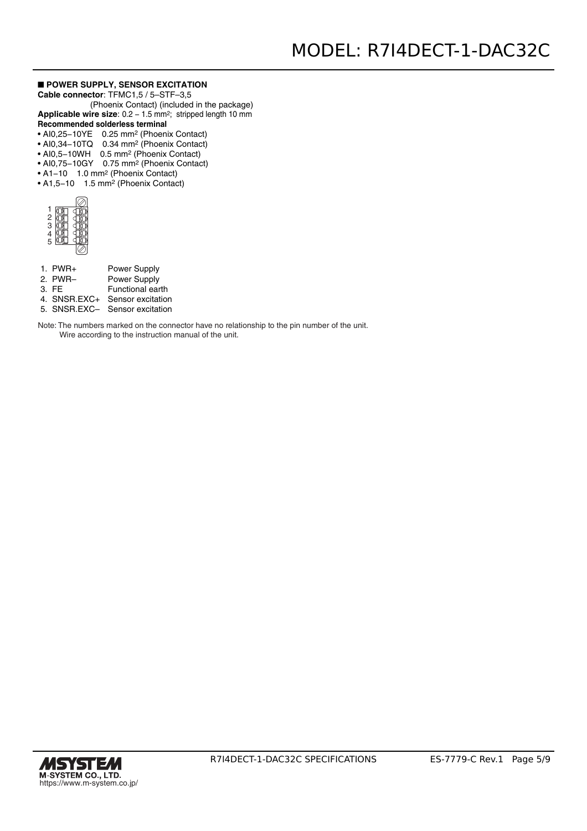#### ■ **POWER SUPPLY, SENSOR EXCITATION**

**Cable connector**: TFMC1,5 / 5–STF–3,5

 (Phoenix Contact) (included in the package) Applicable wire size: 0.2 - 1.5 mm<sup>2</sup>; stripped length 10 mm

#### **Recommended solderless terminal**

- AI0,25−10YE 0.25 mm2 (Phoenix Contact)
- AI0,34−10TQ 0.34 mm2 (Phoenix Contact)
- AI0,5−10WH 0.5 mm2 (Phoenix Contact)
- AI0,75−10GY 0.75 mm2 (Phoenix Contact)
- A1−10 1.0 mm2 (Phoenix Contact)
- A1,5−10 1.5 mm2 (Phoenix Contact)

| 2<br>3         |  |
|----------------|--|
| $\overline{5}$ |  |
|                |  |

| $1.$ PWR+    | <b>Power Supply</b>            |
|--------------|--------------------------------|
| 2. PWR-      | Power Supply                   |
| $3.$ FF      | Functional earth               |
| 4. SNSR.EXC+ | Sensor excitation              |
|              | 5. SNSR.EXC- Sensor excitation |

Note: The numbers marked on the connector have no relationship to the pin number of the unit.

Wire according to the instruction manual of the unit.

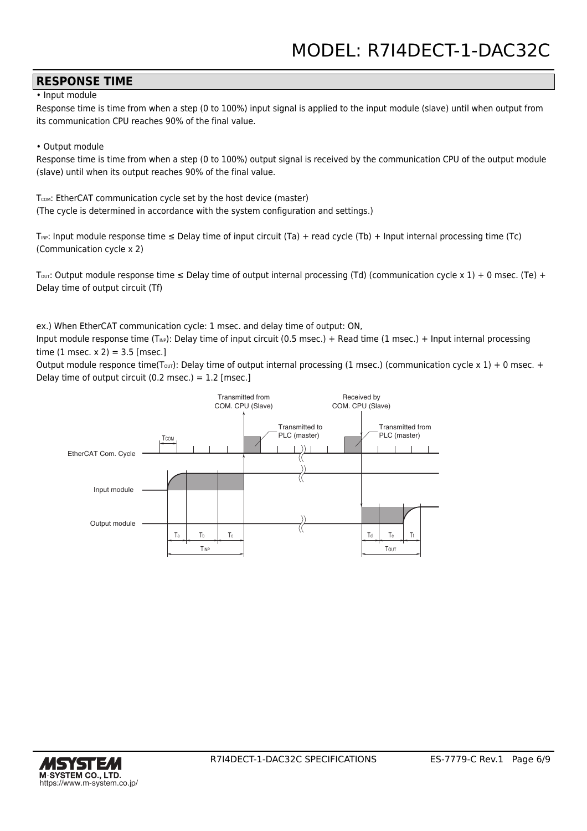### **RESPONSE TIME**

• Input module

Response time is time from when a step (0 to 100%) input signal is applied to the input module (slave) until when output from its communication CPU reaches 90% of the final value.

#### • Output module

Response time is time from when a step (0 to 100%) output signal is received by the communication CPU of the output module (slave) until when its output reaches 90% of the final value.

T<sub>COM</sub>: EtherCAT communication cycle set by the host device (master) (The cycle is determined in accordance with the system configuration and settings.)

 $T_{\text{NP}}$ : Input module response time  $\leq$  Delay time of input circuit (Ta) + read cycle (Tb) + Input internal processing time (Tc) (Communication cycle x 2)

T<sub>OUT</sub>: Output module response time  $\leq$  Delay time of output internal processing (Td) (communication cycle x 1) + 0 msec. (Te) + Delay time of output circuit (Tf)

ex.) When EtherCAT communication cycle: 1 msec. and delay time of output: ON,

Input module response time (T<sub>INP</sub>): Delay time of input circuit (0.5 msec.) + Read time (1 msec.) + Input internal processing time  $(1 \text{ msec. x } 2) = 3.5 \text{ [msec.]}$ 

Output module responce time(T<sub>OUT</sub>): Delay time of output internal processing (1 msec.) (communication cycle x 1) + 0 msec. + Delay time of output circuit (0.2 msec.) =  $1.2$  [msec.]



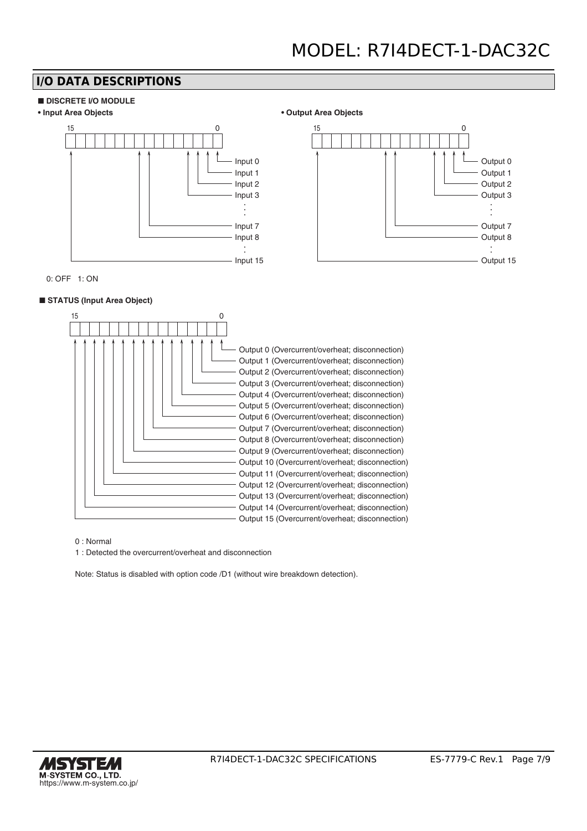## **I/O DATA DESCRIPTIONS**











0: OFF 1: ON

#### ■ **STATUS** (Input Area Object)



0 : Normal

1 : Detected the overcurrent/overheat and disconnection

Note: Status is disabled with option code /D1 (without wire breakdown detection).

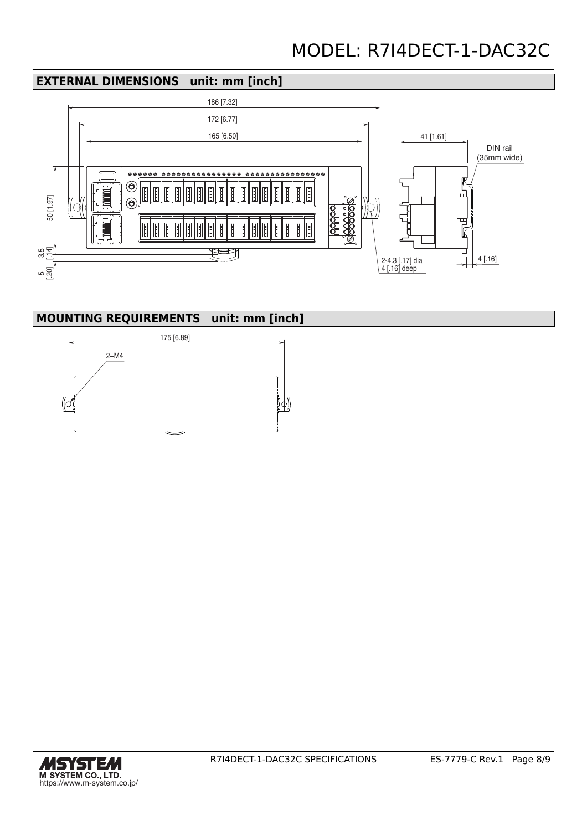# MODEL: R7I4DECT-1-DAC32C

## **EXTERNAL DIMENSIONS unit: mm [inch]**



## **MOUNTING REQUIREMENTS unit: mm [inch]**